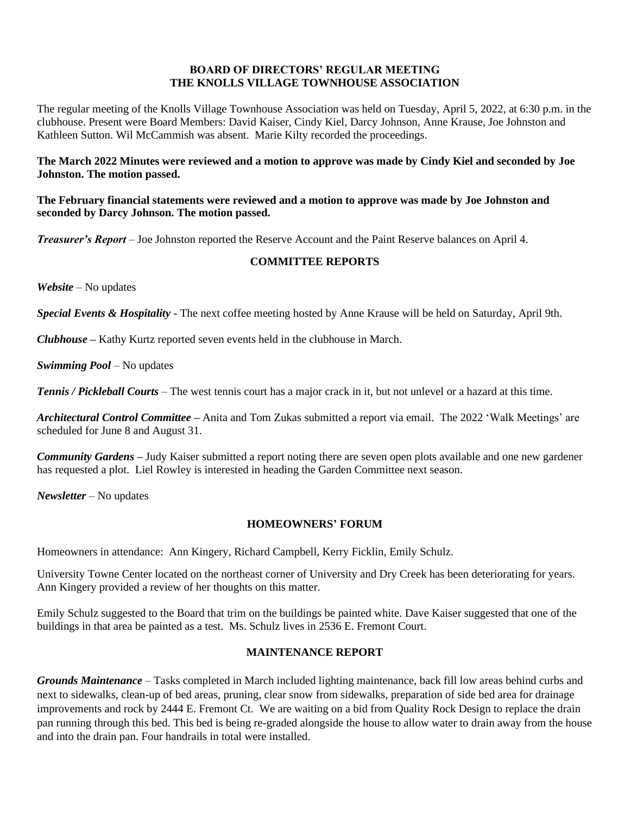# **BOARD OF DIRECTORS' REGULAR MEETING THE KNOLLS VILLAGE TOWNHOUSE ASSOCIATION**

The regular meeting of the Knolls Village Townhouse Association was held on Tuesday, April 5, 2022, at 6:30 p.m. in the clubhouse. Present were Board Members: David Kaiser, Cindy Kiel, Darcy Johnson, Anne Krause, Joe Johnston and Kathleen Sutton. Wil McCammish was absent. Marie Kilty recorded the proceedings.

**The March 2022 Minutes were reviewed and a motion to approve was made by Cindy Kiel and seconded by Joe Johnston. The motion passed.**

**The February financial statements were reviewed and a motion to approve was made by Joe Johnston and seconded by Darcy Johnson. The motion passed.**

*Treasurer's Report* – Joe Johnston reported the Reserve Account and the Paint Reserve balances on April 4.

# **COMMITTEE REPORTS**

*Website* – No updates

*Special Events & Hospitality* - The next coffee meeting hosted by Anne Krause will be held on Saturday, April 9th.

*Clubhouse* **–** Kathy Kurtz reported seven events held in the clubhouse in March.

*Swimming Pool* – No updates

*Tennis / Pickleball Courts* – The west tennis court has a major crack in it, but not unlevel or a hazard at this time.

*Architectural Control Committee* **–** Anita and Tom Zukas submitted a report via email. The 2022 'Walk Meetings' are scheduled for June 8 and August 31.

*Community Gardens –* Judy Kaiser submitted a report noting there are seven open plots available and one new gardener has requested a plot. Liel Rowley is interested in heading the Garden Committee next season.

*Newsletter –* No updates

# **HOMEOWNERS' FORUM**

Homeowners in attendance: Ann Kingery, Richard Campbell, Kerry Ficklin, Emily Schulz.

University Towne Center located on the northeast corner of University and Dry Creek has been deteriorating for years. Ann Kingery provided a review of her thoughts on this matter.

Emily Schulz suggested to the Board that trim on the buildings be painted white. Dave Kaiser suggested that one of the buildings in that area be painted as a test. Ms. Schulz lives in 2536 E. Fremont Court.

# **MAINTENANCE REPORT**

*Grounds Maintenance –* Tasks completed in March included lighting maintenance, back fill low areas behind curbs and next to sidewalks, clean-up of bed areas, pruning, clear snow from sidewalks, preparation of side bed area for drainage improvements and rock by 2444 E. Fremont Ct. We are waiting on a bid from Quality Rock Design to replace the drain pan running through this bed. This bed is being re-graded alongside the house to allow water to drain away from the house and into the drain pan. Four handrails in total were installed.